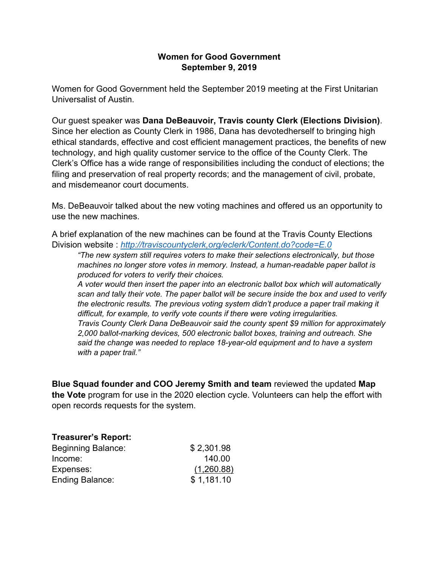## **Women for Good Government September 9, 2019**

Women for Good Government held the September 2019 meeting at the First Unitarian Universalist of Austin.

Our guest speaker was **Dana DeBeauvoir, Travis county Clerk (Elections Division)**. Since her election as County Clerk in 1986, Dana has devotedherself to bringing high ethical standards, effective and cost efficient management practices, the benefits of new technology, and high quality customer service to the office of the County Clerk. The Clerk's Office has a wide range of responsibilities including the conduct of elections; the filing and preservation of real property records; and the management of civil, probate, and misdemeanor court documents.

Ms. DeBeauvoir talked about the new voting machines and offered us an opportunity to use the new machines.

A brief explanation of the new machines can be found at the Travis County Elections Division website : *http://traviscountyclerk,org/eclerk/Content.do?code=E.0*

*"The new system still requires voters to make their selections electronically, but those machines no longer store votes in memory. Instead, a human-readable paper ballot is produced for voters to verify their choices.*

*A voter would then insert the paper into an electronic ballot box which will automatically scan and tally their vote. The paper ballot will be secure inside the box and used to verify the electronic results. The previous voting system didn't produce a paper trail making it difficult, for example, to verify vote counts if there were voting irregularities. Travis County Clerk Dana DeBeauvoir said the county spent \$9 million for approximately 2,000 ballot-marking devices, 500 electronic ballot boxes, training and outreach. She said the change was needed to replace 18-year-old equipment and to have a system with a paper trail."*

**Blue Squad founder and COO Jeremy Smith and team** reviewed the updated **Map the Vote** program for use in the 2020 election cycle. Volunteers can help the effort with open records requests for the system.

| <b>Treasurer's Report:</b> |            |
|----------------------------|------------|
| <b>Beginning Balance:</b>  | \$2,301.98 |
| Income:                    | 140.00     |
| Expenses:                  | (1,260.88) |
| <b>Ending Balance:</b>     | \$1,181.10 |